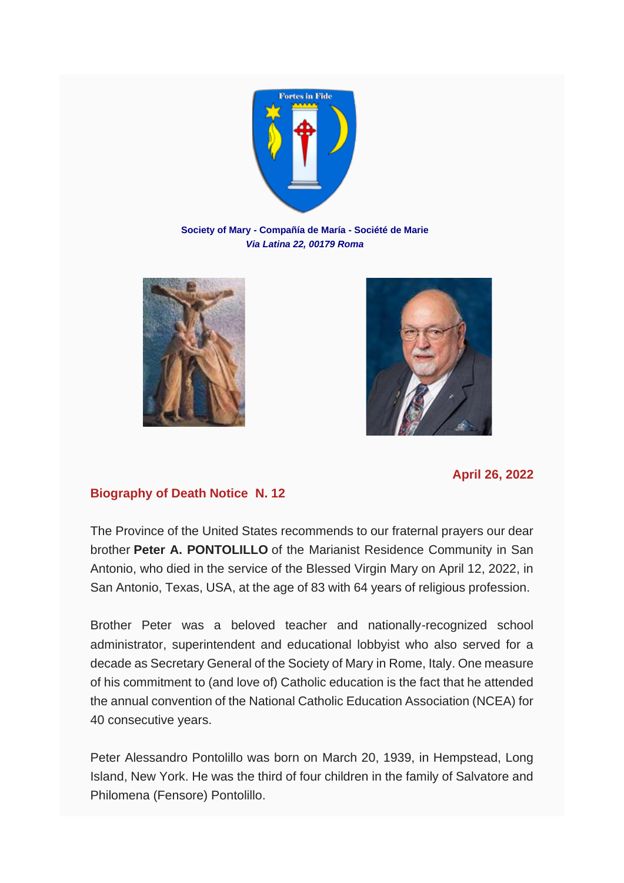

**Society of Mary - Compañía de María - Société de Marie** *Via Latina 22, 00179 Roma*





## **April 26, 2022**

## **Biography of Death Notice N. 12**

The Province of the United States recommends to our fraternal prayers our dear brother **Peter A. PONTOLILLO** of the Marianist Residence Community in San Antonio, who died in the service of the Blessed Virgin Mary on April 12, 2022, in San Antonio, Texas, USA, at the age of 83 with 64 years of religious profession.

Brother Peter was a beloved teacher and nationally-recognized school administrator, superintendent and educational lobbyist who also served for a decade as Secretary General of the Society of Mary in Rome, Italy. One measure of his commitment to (and love of) Catholic education is the fact that he attended the annual convention of the National Catholic Education Association (NCEA) for 40 consecutive years.

Peter Alessandro Pontolillo was born on March 20, 1939, in Hempstead, Long Island, New York. He was the third of four children in the family of Salvatore and Philomena (Fensore) Pontolillo.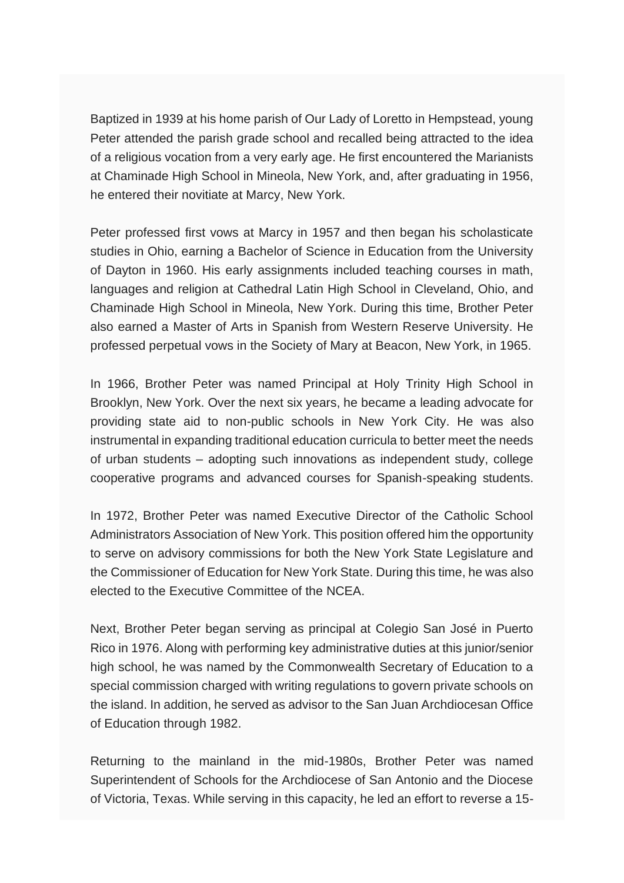Baptized in 1939 at his home parish of Our Lady of Loretto in Hempstead, young Peter attended the parish grade school and recalled being attracted to the idea of a religious vocation from a very early age. He first encountered the Marianists at Chaminade High School in Mineola, New York, and, after graduating in 1956, he entered their novitiate at Marcy, New York.

Peter professed first vows at Marcy in 1957 and then began his scholasticate studies in Ohio, earning a Bachelor of Science in Education from the University of Dayton in 1960. His early assignments included teaching courses in math, languages and religion at Cathedral Latin High School in Cleveland, Ohio, and Chaminade High School in Mineola, New York. During this time, Brother Peter also earned a Master of Arts in Spanish from Western Reserve University. He professed perpetual vows in the Society of Mary at Beacon, New York, in 1965.

In 1966, Brother Peter was named Principal at Holy Trinity High School in Brooklyn, New York. Over the next six years, he became a leading advocate for providing state aid to non-public schools in New York City. He was also instrumental in expanding traditional education curricula to better meet the needs of urban students – adopting such innovations as independent study, college cooperative programs and advanced courses for Spanish-speaking students.

In 1972, Brother Peter was named Executive Director of the Catholic School Administrators Association of New York. This position offered him the opportunity to serve on advisory commissions for both the New York State Legislature and the Commissioner of Education for New York State. During this time, he was also elected to the Executive Committee of the NCEA.

Next, Brother Peter began serving as principal at Colegio San José in Puerto Rico in 1976. Along with performing key administrative duties at this junior/senior high school, he was named by the Commonwealth Secretary of Education to a special commission charged with writing regulations to govern private schools on the island. In addition, he served as advisor to the San Juan Archdiocesan Office of Education through 1982.

Returning to the mainland in the mid-1980s, Brother Peter was named Superintendent of Schools for the Archdiocese of San Antonio and the Diocese of Victoria, Texas. While serving in this capacity, he led an effort to reverse a 15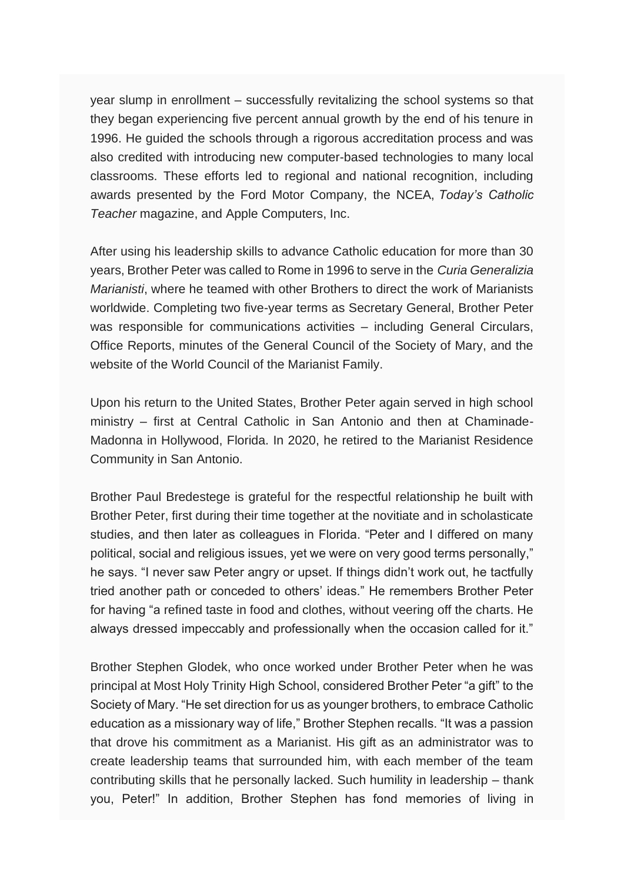year slump in enrollment – successfully revitalizing the school systems so that they began experiencing five percent annual growth by the end of his tenure in 1996. He guided the schools through a rigorous accreditation process and was also credited with introducing new computer-based technologies to many local classrooms. These efforts led to regional and national recognition, including awards presented by the Ford Motor Company, the NCEA, *Today's Catholic Teacher* magazine, and Apple Computers, Inc.

After using his leadership skills to advance Catholic education for more than 30 years, Brother Peter was called to Rome in 1996 to serve in the *Curia Generalizia Marianisti*, where he teamed with other Brothers to direct the work of Marianists worldwide. Completing two five-year terms as Secretary General, Brother Peter was responsible for communications activities – including General Circulars, Office Reports, minutes of the General Council of the Society of Mary, and the website of the World Council of the Marianist Family.

Upon his return to the United States, Brother Peter again served in high school ministry – first at Central Catholic in San Antonio and then at Chaminade-Madonna in Hollywood, Florida. In 2020, he retired to the Marianist Residence Community in San Antonio.

Brother Paul Bredestege is grateful for the respectful relationship he built with Brother Peter, first during their time together at the novitiate and in scholasticate studies, and then later as colleagues in Florida. "Peter and I differed on many political, social and religious issues, yet we were on very good terms personally," he says. "I never saw Peter angry or upset. If things didn't work out, he tactfully tried another path or conceded to others' ideas." He remembers Brother Peter for having "a refined taste in food and clothes, without veering off the charts. He always dressed impeccably and professionally when the occasion called for it."

Brother Stephen Glodek, who once worked under Brother Peter when he was principal at Most Holy Trinity High School, considered Brother Peter "a gift" to the Society of Mary. "He set direction for us as younger brothers, to embrace Catholic education as a missionary way of life," Brother Stephen recalls. "It was a passion that drove his commitment as a Marianist. His gift as an administrator was to create leadership teams that surrounded him, with each member of the team contributing skills that he personally lacked. Such humility in leadership – thank you, Peter!" In addition, Brother Stephen has fond memories of living in